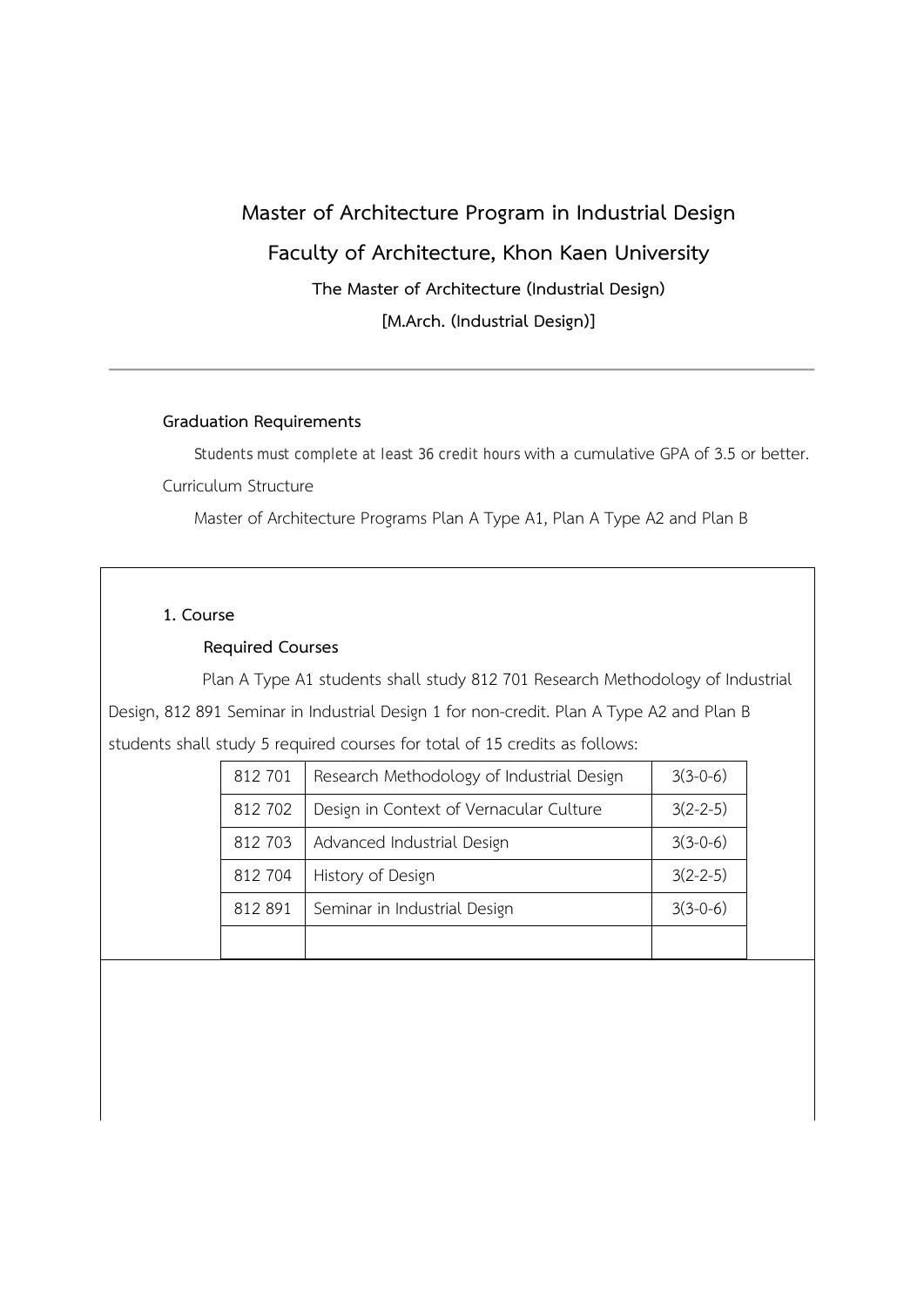# **Master of Architecture Program in Industrial Design Faculty of Architecture, Khon Kaen University The Master of Architecture (Industrial Design) [M.Arch. (Industrial Design)]**

#### **Graduation Requirements**

 Students must complete at least 36 credit hours with a cumulative GPA of 3.5 or better. Curriculum Structure

Master of Architecture Programs Plan A Type A1, Plan A Type A2 and Plan B

#### **1. Course**

#### **Required Courses**

 Plan A Type A1 students shall study 812 701 Research Methodology of Industrial Design, 812 891 Seminar in Industrial Design 1 for non-credit. Plan A Type A2 and Plan B students shall study 5 required courses for total of 15 credits as follows:

| 812 701 | Research Methodology of Industrial Design | $3(3-0-6)$ |
|---------|-------------------------------------------|------------|
| 812 702 | Design in Context of Vernacular Culture   | $3(2-2-5)$ |
| 812 703 | Advanced Industrial Design                | $3(3-0-6)$ |
| 812 704 | History of Design                         | $3(2-2-5)$ |
| 812 891 | Seminar in Industrial Design              | $3(3-0-6)$ |
|         |                                           |            |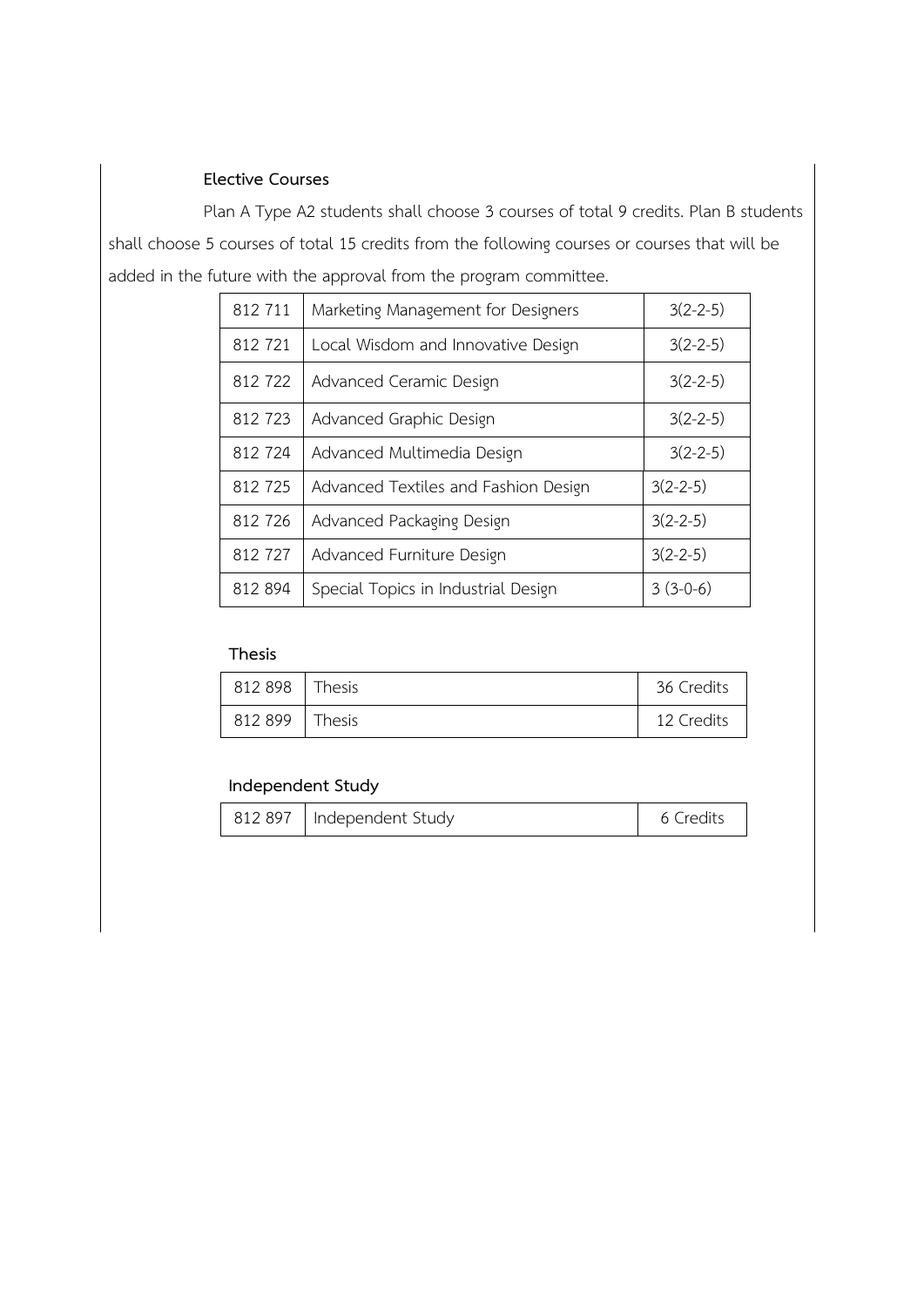# **Elective Courses**

Plan A Type A2 students shall choose 3 courses of total 9 credits. Plan B students shall choose 5 courses of total 15 credits from the following courses or courses that will be added in the future with the approval from the program committee.

| 812 711 | Marketing Management for Designers   | $3(2-2-5)$     |
|---------|--------------------------------------|----------------|
| 812 721 | Local Wisdom and Innovative Design   | $3(2 - 2 - 5)$ |
| 812722  | Advanced Ceramic Design              | $3(2-2-5)$     |
| 812 723 | Advanced Graphic Design              | $3(2-2-5)$     |
| 812 724 | Advanced Multimedia Design           | $3(2 - 2 - 5)$ |
| 812725  | Advanced Textiles and Fashion Design | $3(2-2-5)$     |
| 812 726 | Advanced Packaging Design            | $3(2-2-5)$     |
| 812 727 | Advanced Furniture Design            | $3(2-2-5)$     |
| 812 894 | Special Topics in Industrial Design  | $3(3-0-6)$     |

#### **Thesis**

| 812 898 | Thesis | 36 Credits |
|---------|--------|------------|
| 812 899 | Thesis | 12 Credits |

# **Independent Study**

|  | 812 897   Independent Study | 6 Credits |
|--|-----------------------------|-----------|
|--|-----------------------------|-----------|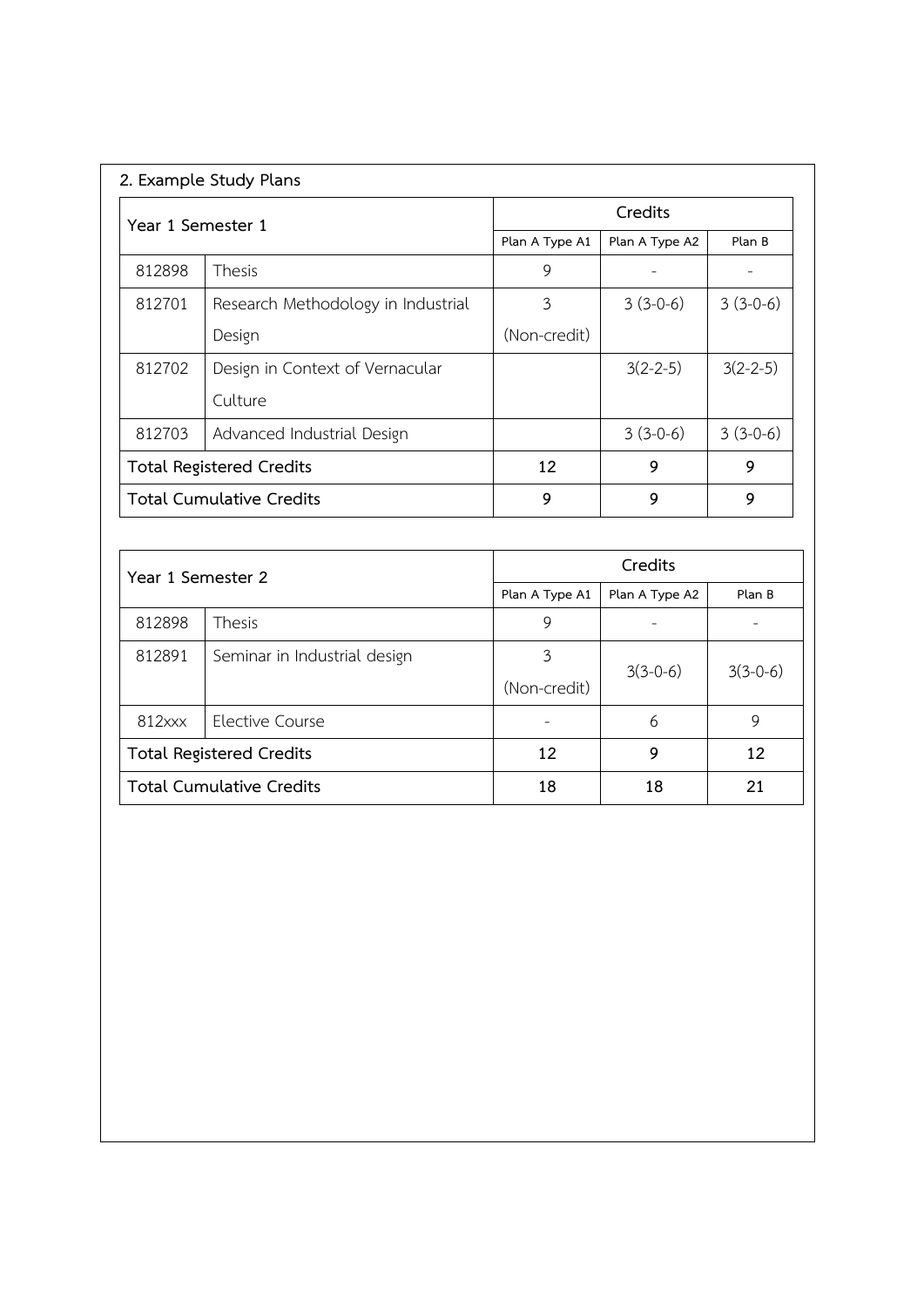| 2. Example Study Plans          |                                    |                |                |            |
|---------------------------------|------------------------------------|----------------|----------------|------------|
| Year 1 Semester 1               |                                    | Credits        |                |            |
|                                 |                                    | Plan A Type A1 | Plan A Type A2 | Plan B     |
| 812898                          | <b>Thesis</b>                      | 9              |                |            |
| 812701                          | Research Methodology in Industrial | 3              | $3(3-0-6)$     | $3(3-0-6)$ |
|                                 | Design                             | (Non-credit)   |                |            |
| 812702                          | Design in Context of Vernacular    |                | $3(2-2-5)$     | $3(2-2-5)$ |
|                                 | Culture                            |                |                |            |
| 812703                          | Advanced Industrial Design         |                | $3(3-0-6)$     | $3(3-0-6)$ |
| <b>Total Registered Credits</b> |                                    | 12             | 9              | 9          |
| Total Cumulative Credits        |                                    | 9              | 9              | 9          |

| Year 1 Semester 2               |                              | Credits                          |            |            |
|---------------------------------|------------------------------|----------------------------------|------------|------------|
|                                 |                              | Plan A Type A1<br>Plan A Type A2 |            | Plan B     |
| 812898                          | <b>Thesis</b>                | 9                                |            |            |
| 812891                          | Seminar in Industrial design | 3                                |            |            |
|                                 |                              | (Non-credit)                     | $3(3-0-6)$ | $3(3-0-6)$ |
| 812xxx                          | Elective Course              |                                  | 6          | 9          |
| <b>Total Registered Credits</b> |                              | 12                               | 9          | 12         |
| <b>Total Cumulative Credits</b> |                              | 18                               | 18         | 21         |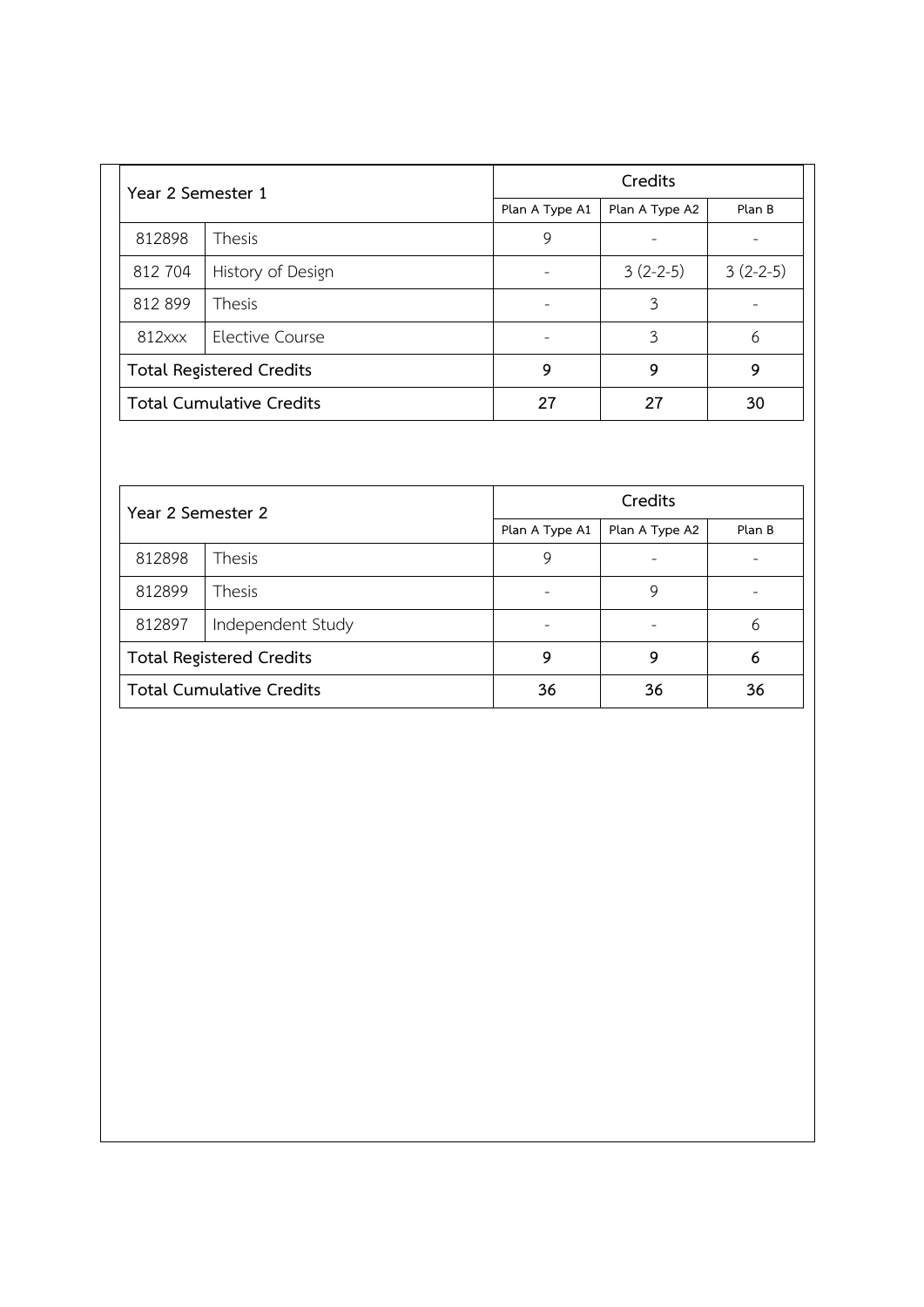| Year 2 Semester 1               |                   | Credits        |                |            |
|---------------------------------|-------------------|----------------|----------------|------------|
|                                 |                   | Plan A Type A1 | Plan A Type A2 | Plan B     |
| 812898                          | <b>Thesis</b>     | 9              |                |            |
| 812 704                         | History of Design |                | $3(2-2-5)$     | $3(2-2-5)$ |
| 812 899                         | <b>Thesis</b>     |                | 3              |            |
| $812$ $xx$                      | Elective Course   |                | 3              | 6          |
| <b>Total Registered Credits</b> |                   | 9              | 9              | 9          |
| <b>Total Cumulative Credits</b> |                   | 27             | 27             | 30         |

| Year 2 Semester 2               |               | Credits        |                |        |
|---------------------------------|---------------|----------------|----------------|--------|
|                                 |               | Plan A Type A1 | Plan A Type A2 | Plan B |
| 812898                          | <b>Thesis</b> | 9              |                |        |
| 812899                          | <b>Thesis</b> |                | 9              |        |
| Independent Study<br>812897     |               |                |                | 6      |
| <b>Total Registered Credits</b> |               | 9              | 9              | 6      |
| <b>Total Cumulative Credits</b> |               | 36             | 36             | 36     |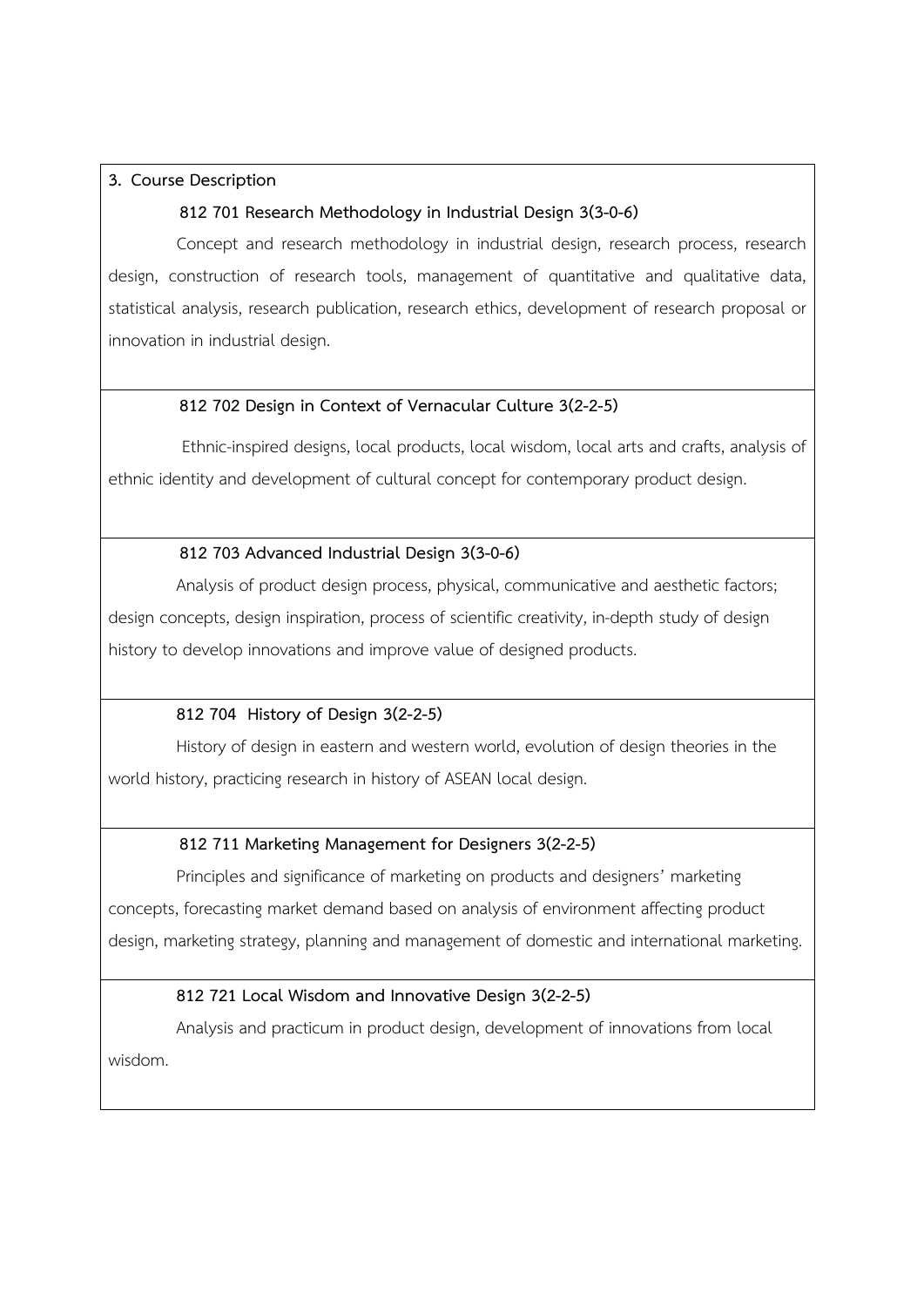## **3. Course Description**

## **812 701 Research Methodology in Industrial Design 3(3-0-6)**

 Concept and research methodology in industrial design, research process, research design, construction of research tools, management of quantitative and qualitative data, statistical analysis, research publication, research ethics, development of research proposal or innovation in industrial design.

#### **812 702 Design in Context of Vernacular Culture 3(2-2-5)**

 Ethnic-inspired designs, local products, local wisdom, local arts and crafts, analysis of ethnic identity and development of cultural concept for contemporary product design.

#### **812 703 Advanced Industrial Design 3(3-0-6)**

Analysis of product design process, physical, communicative and aesthetic factors; design concepts, design inspiration, process of scientific creativity, in-depth study of design history to develop innovations and improve value of designed products.

#### **812 704 History of Design 3(2-2-5)**

History of design in eastern and western world, evolution of design theories in the world history, practicing research in history of ASEAN local design.

## **812 711 Marketing Management for Designers 3(2-2-5)**

 Principles and significance of marketing on products and designers' marketing concepts, forecasting market demand based on analysis of environment affecting product design, marketing strategy, planning and management of domestic and international marketing.

#### **812 721 Local Wisdom and Innovative Design 3(2-2-5)**

Analysis and practicum in product design, development of innovations from local wisdom.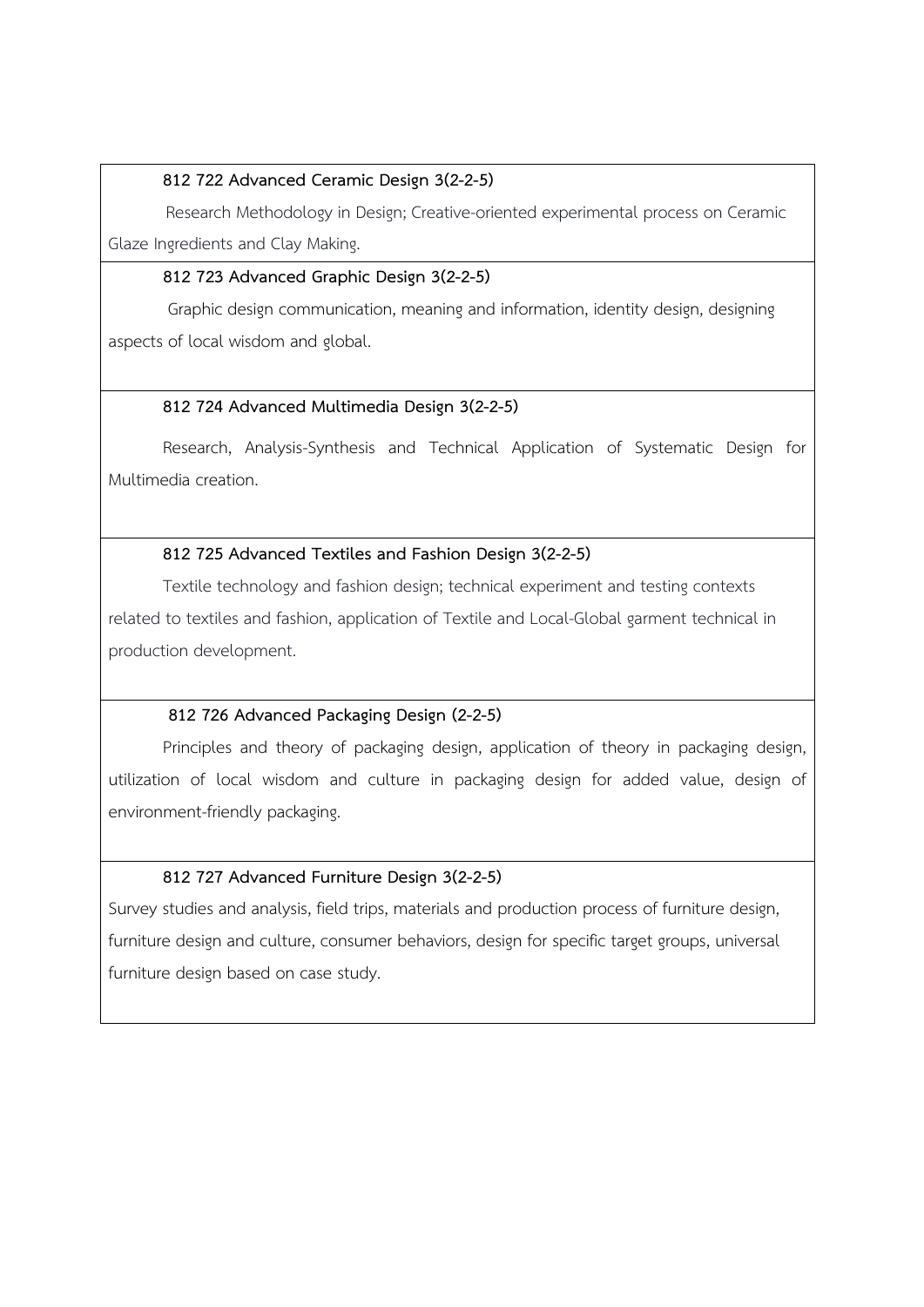## **812 722 Advanced Ceramic Design 3(2-2-5)**

 Research Methodology in Design; Creative-oriented experimental process on Ceramic Glaze Ingredients and Clay Making.

## **812 723 Advanced Graphic Design 3(2-2-5)**

 Graphic design communication, meaning and information, identity design, designing aspects of local wisdom and global.

# **812 724 Advanced Multimedia Design 3(2-2-5)**

Research, Analysis-Synthesis and Technical Application of Systematic Design for Multimedia creation.

# **812 725 Advanced Textiles and Fashion Design 3(2-2-5)**

Textile technology and fashion design; technical experiment and testing contexts related to textiles and fashion, application of Textile and Local-Global garment technical in production development.

## **812 726 Advanced Packaging Design (2-2-5)**

Principles and theory of packaging design, application of theory in packaging design, utilization of local wisdom and culture in packaging design for added value, design of environment-friendly packaging.

# **812 727 Advanced Furniture Design 3(2-2-5)**

Survey studies and analysis, field trips, materials and production process of furniture design, furniture design and culture, consumer behaviors, design for specific target groups, universal furniture design based on case study.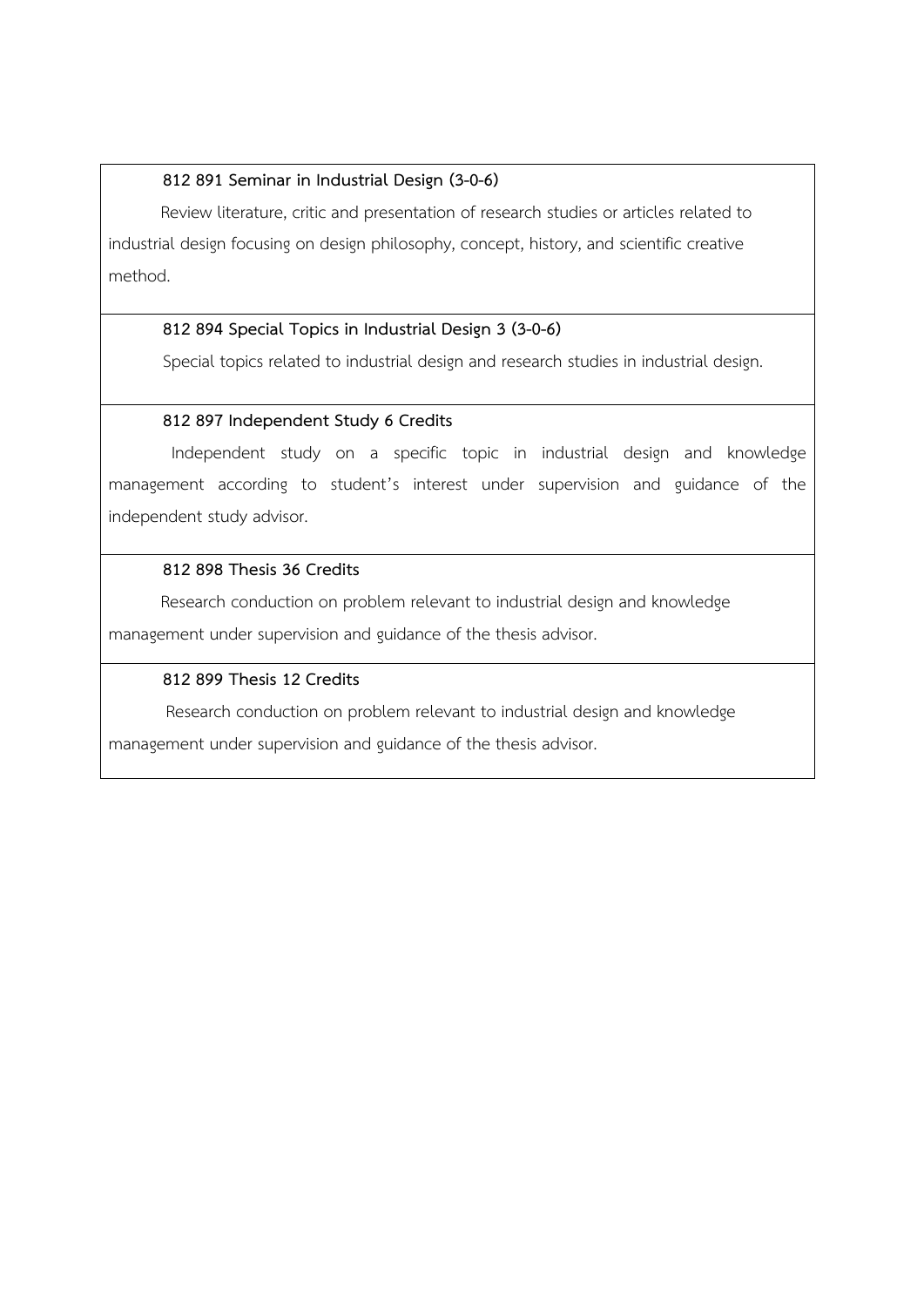## **812 891 Seminar in Industrial Design (3-0-6)**

 Review literature, critic and presentation of research studies or articles related to industrial design focusing on design philosophy, concept, history, and scientific creative method.

## **812 894 Special Topics in Industrial Design 3 (3-0-6)**

Special topics related to industrial design and research studies in industrial design.

## **812 897 Independent Study 6 Credits**

 Independent study on a specific topic in industrial design and knowledge management according to student's interest under supervision and guidance of the independent study advisor.

## **812 898 Thesis 36 Credits**

 Research conduction on problem relevant to industrial design and knowledge management under supervision and guidance of the thesis advisor.

## **812 899 Thesis 12 Credits**

Research conduction on problem relevant to industrial design and knowledge

management under supervision and guidance of the thesis advisor.